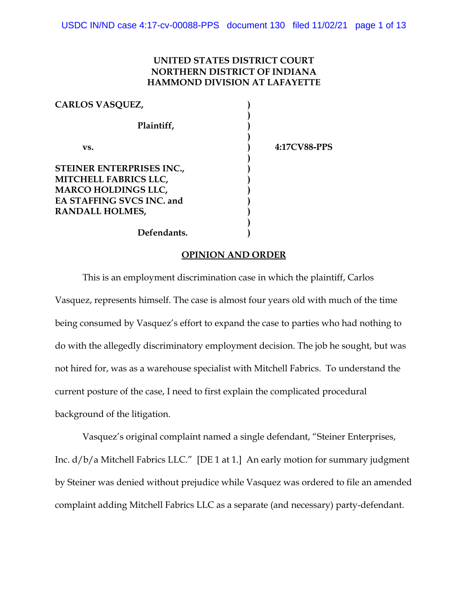# **UNITED STATES DISTRICT COURT NORTHERN DISTRICT OF INDIANA HAMMOND DIVISION AT LAFAYETTE**

| <b>CARLOS VASQUEZ,</b>       |  |
|------------------------------|--|
|                              |  |
| Plaintiff,                   |  |
|                              |  |
| vs.                          |  |
|                              |  |
| STEINER ENTERPRISES INC.,    |  |
| <b>MITCHELL FABRICS LLC,</b> |  |
| <b>MARCO HOLDINGS LLC,</b>   |  |
| EA STAFFING SVCS INC. and    |  |
| <b>RANDALL HOLMES,</b>       |  |
|                              |  |

**vs. ) 4:17CV88-PPS**

## **Defendants. )**

### **OPINION AND ORDER**

This is an employment discrimination case in which the plaintiff, Carlos Vasquez, represents himself. The case is almost four years old with much of the time being consumed by Vasquez's effort to expand the case to parties who had nothing to do with the allegedly discriminatory employment decision. The job he sought, but was not hired for, was as a warehouse specialist with Mitchell Fabrics. To understand the current posture of the case, I need to first explain the complicated procedural background of the litigation.

Vasquez's original complaint named a single defendant, "Steiner Enterprises, Inc. d/b/a Mitchell Fabrics LLC." [DE 1 at 1.] An early motion for summary judgment by Steiner was denied without prejudice while Vasquez was ordered to file an amended complaint adding Mitchell Fabrics LLC as a separate (and necessary) party-defendant.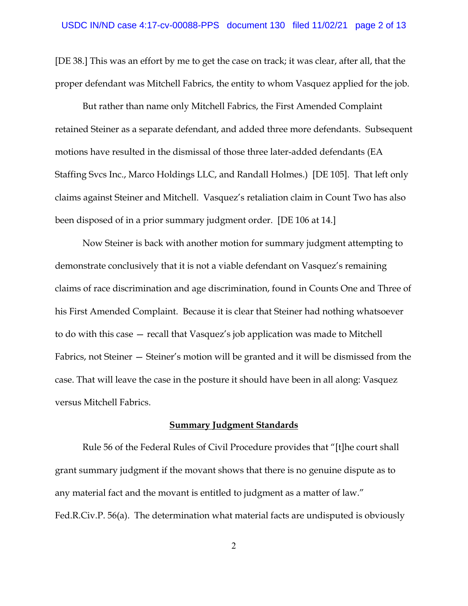[DE 38.] This was an effort by me to get the case on track; it was clear, after all, that the proper defendant was Mitchell Fabrics, the entity to whom Vasquez applied for the job.

But rather than name only Mitchell Fabrics, the First Amended Complaint retained Steiner as a separate defendant, and added three more defendants. Subsequent motions have resulted in the dismissal of those three later-added defendants (EA Staffing Svcs Inc., Marco Holdings LLC, and Randall Holmes.) [DE 105]. That left only claims against Steiner and Mitchell. Vasquez's retaliation claim in Count Two has also been disposed of in a prior summary judgment order. [DE 106 at 14.]

Now Steiner is back with another motion for summary judgment attempting to demonstrate conclusively that it is not a viable defendant on Vasquez's remaining claims of race discrimination and age discrimination, found in Counts One and Three of his First Amended Complaint. Because it is clear that Steiner had nothing whatsoever to do with this case — recall that Vasquez's job application was made to Mitchell Fabrics, not Steiner — Steiner's motion will be granted and it will be dismissed from the case. That will leave the case in the posture it should have been in all along: Vasquez versus Mitchell Fabrics.

## **Summary Judgment Standards**

Rule 56 of the Federal Rules of Civil Procedure provides that "[t]he court shall grant summary judgment if the movant shows that there is no genuine dispute as to any material fact and the movant is entitled to judgment as a matter of law." Fed.R.Civ.P. 56(a). The determination what material facts are undisputed is obviously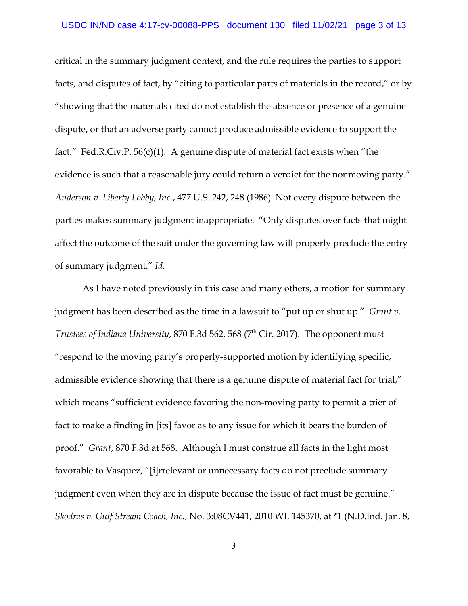critical in the summary judgment context, and the rule requires the parties to support facts, and disputes of fact, by "citing to particular parts of materials in the record," or by "showing that the materials cited do not establish the absence or presence of a genuine dispute, or that an adverse party cannot produce admissible evidence to support the fact." Fed.R.Civ.P. 56(c)(1). A genuine dispute of material fact exists when "the evidence is such that a reasonable jury could return a verdict for the nonmoving party." *Anderson v. Liberty Lobby, Inc.*, 477 U.S. 242, 248 (1986). Not every dispute between the parties makes summary judgment inappropriate. "Only disputes over facts that might affect the outcome of the suit under the governing law will properly preclude the entry of summary judgment." *Id*.

As I have noted previously in this case and many others, a motion for summary judgment has been described as the time in a lawsuit to "put up or shut up." *Grant v. Trustees of Indiana University, 870 F.3d 562, 568 (7<sup>th</sup> Cir. 2017). The opponent must* "respond to the moving party's properly-supported motion by identifying specific, admissible evidence showing that there is a genuine dispute of material fact for trial," which means "sufficient evidence favoring the non-moving party to permit a trier of fact to make a finding in [its] favor as to any issue for which it bears the burden of proof." *Grant*, 870 F.3d at 568. Although I must construe all facts in the light most favorable to Vasquez, "[i]rrelevant or unnecessary facts do not preclude summary judgment even when they are in dispute because the issue of fact must be genuine." *Skodras v. Gulf Stream Coach, Inc.*, No. 3:08CV441, 2010 WL 145370, at \*1 (N.D.Ind. Jan. 8,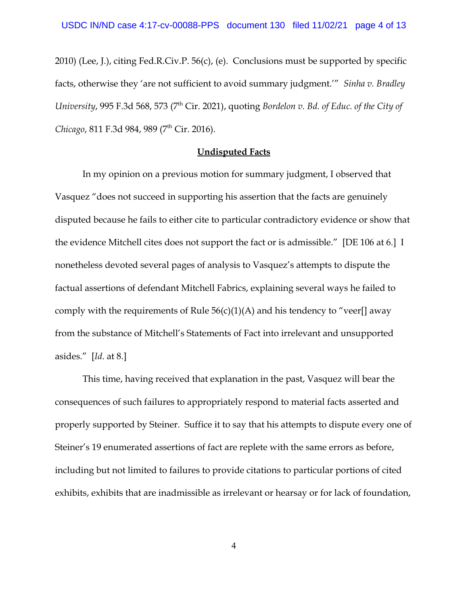2010) (Lee, J.), citing Fed.R.Civ.P. 56(c), (e). Conclusions must be supported by specific facts, otherwise they 'are not sufficient to avoid summary judgment.'" *Sinha v. Bradley University*, 995 F.3d 568, 573 (7th Cir. 2021), quoting *Bordelon v. Bd. of Educ. of the City of* Chicago, 811 F.3d 984, 989 (7<sup>th</sup> Cir. 2016).

#### **Undisputed Facts**

In my opinion on a previous motion for summary judgment, I observed that Vasquez "does not succeed in supporting his assertion that the facts are genuinely disputed because he fails to either cite to particular contradictory evidence or show that the evidence Mitchell cites does not support the fact or is admissible." [DE 106 at 6.] I nonetheless devoted several pages of analysis to Vasquez's attempts to dispute the factual assertions of defendant Mitchell Fabrics, explaining several ways he failed to comply with the requirements of Rule  $56(c)(1)(A)$  and his tendency to "veer[] away from the substance of Mitchell's Statements of Fact into irrelevant and unsupported asides." [*Id*. at 8.]

This time, having received that explanation in the past, Vasquez will bear the consequences of such failures to appropriately respond to material facts asserted and properly supported by Steiner. Suffice it to say that his attempts to dispute every one of Steiner's 19 enumerated assertions of fact are replete with the same errors as before, including but not limited to failures to provide citations to particular portions of cited exhibits, exhibits that are inadmissible as irrelevant or hearsay or for lack of foundation,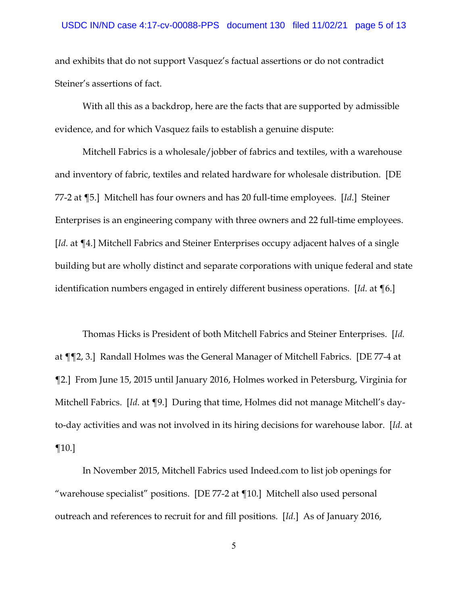and exhibits that do not support Vasquez's factual assertions or do not contradict Steiner's assertions of fact.

With all this as a backdrop, here are the facts that are supported by admissible evidence, and for which Vasquez fails to establish a genuine dispute:

Mitchell Fabrics is a wholesale/jobber of fabrics and textiles, with a warehouse and inventory of fabric, textiles and related hardware for wholesale distribution. [DE 77-2 at ¶5.] Mitchell has four owners and has 20 full-time employees. [*Id*.] Steiner Enterprises is an engineering company with three owners and 22 full-time employees. [*Id*. at ¶4.] Mitchell Fabrics and Steiner Enterprises occupy adjacent halves of a single building but are wholly distinct and separate corporations with unique federal and state identification numbers engaged in entirely different business operations. [*Id*. at ¶6.]

Thomas Hicks is President of both Mitchell Fabrics and Steiner Enterprises. [*Id.* at ¶¶2, 3.] Randall Holmes was the General Manager of Mitchell Fabrics. [DE 77-4 at ¶2.] From June 15, 2015 until January 2016, Holmes worked in Petersburg, Virginia for Mitchell Fabrics. [*Id*. at ¶9.] During that time, Holmes did not manage Mitchell's dayto-day activities and was not involved in its hiring decisions for warehouse labor. [*Id*. at ¶10.]

In November 2015, Mitchell Fabrics used Indeed.com to list job openings for "warehouse specialist" positions. [DE 77-2 at ¶10.] Mitchell also used personal outreach and references to recruit for and fill positions. [*Id*.] As of January 2016,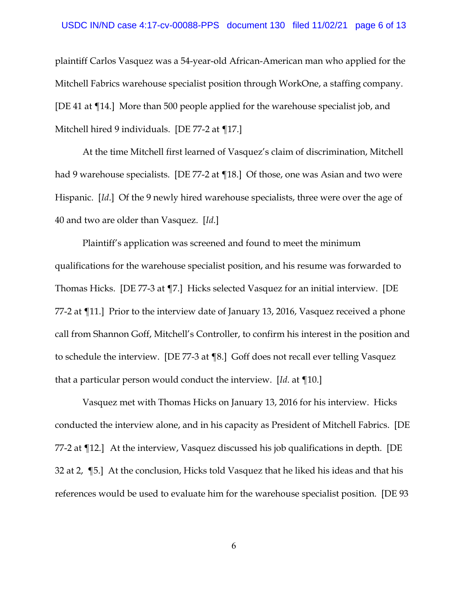plaintiff Carlos Vasquez was a 54-year-old African-American man who applied for the Mitchell Fabrics warehouse specialist position through WorkOne, a staffing company. [DE 41 at ¶14.] More than 500 people applied for the warehouse specialist job, and Mitchell hired 9 individuals. [DE 77-2 at 17.]

At the time Mitchell first learned of Vasquez's claim of discrimination, Mitchell had 9 warehouse specialists. [DE 77-2 at ¶18.] Of those, one was Asian and two were Hispanic. [*Id*.] Of the 9 newly hired warehouse specialists, three were over the age of 40 and two are older than Vasquez. [*Id*.]

Plaintiff's application was screened and found to meet the minimum qualifications for the warehouse specialist position, and his resume was forwarded to Thomas Hicks. [DE 77-3 at ¶7.] Hicks selected Vasquez for an initial interview. [DE 77-2 at ¶11.] Prior to the interview date of January 13, 2016, Vasquez received a phone call from Shannon Goff, Mitchell's Controller, to confirm his interest in the position and to schedule the interview. [DE 77-3 at ¶8.] Goff does not recall ever telling Vasquez that a particular person would conduct the interview. [*Id*. at ¶10.]

Vasquez met with Thomas Hicks on January 13, 2016 for his interview. Hicks conducted the interview alone, and in his capacity as President of Mitchell Fabrics. [DE 77-2 at ¶12.] At the interview, Vasquez discussed his job qualifications in depth. [DE 32 at 2, ¶5.] At the conclusion, Hicks told Vasquez that he liked his ideas and that his references would be used to evaluate him for the warehouse specialist position. [DE 93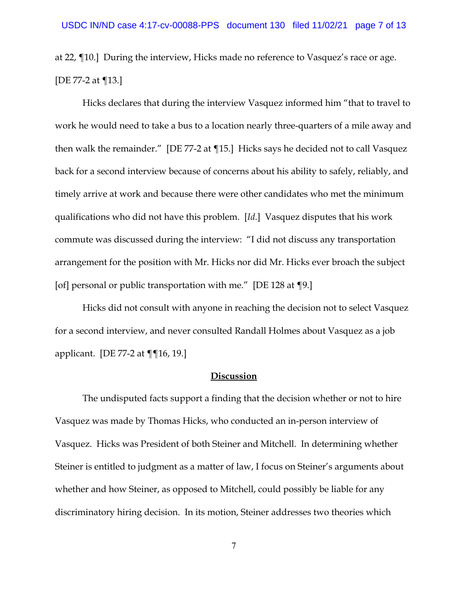at 22, ¶10.] During the interview, Hicks made no reference to Vasquez's race or age. [DE 77-2 at ¶13.]

Hicks declares that during the interview Vasquez informed him "that to travel to work he would need to take a bus to a location nearly three-quarters of a mile away and then walk the remainder." [DE 77-2 at ¶15.] Hicks says he decided not to call Vasquez back for a second interview because of concerns about his ability to safely, reliably, and timely arrive at work and because there were other candidates who met the minimum qualifications who did not have this problem. [*Id*.] Vasquez disputes that his work commute was discussed during the interview: "I did not discuss any transportation arrangement for the position with Mr. Hicks nor did Mr. Hicks ever broach the subject [of] personal or public transportation with me." [DE 128 at ¶9.]

Hicks did not consult with anyone in reaching the decision not to select Vasquez for a second interview, and never consulted Randall Holmes about Vasquez as a job applicant. [DE 77-2 at ¶¶16, 19.]

#### **Discussion**

The undisputed facts support a finding that the decision whether or not to hire Vasquez was made by Thomas Hicks, who conducted an in-person interview of Vasquez. Hicks was President of both Steiner and Mitchell. In determining whether Steiner is entitled to judgment as a matter of law, I focus on Steiner's arguments about whether and how Steiner, as opposed to Mitchell, could possibly be liable for any discriminatory hiring decision. In its motion, Steiner addresses two theories which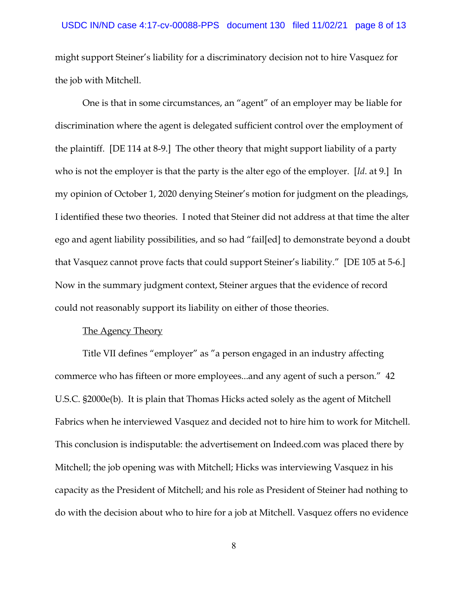might support Steiner's liability for a discriminatory decision not to hire Vasquez for the job with Mitchell.

One is that in some circumstances, an "agent" of an employer may be liable for discrimination where the agent is delegated sufficient control over the employment of the plaintiff. [DE 114 at 8-9.] The other theory that might support liability of a party who is not the employer is that the party is the alter ego of the employer. [*Id*. at 9.] In my opinion of October 1, 2020 denying Steiner's motion for judgment on the pleadings, I identified these two theories. I noted that Steiner did not address at that time the alter ego and agent liability possibilities, and so had "fail[ed] to demonstrate beyond a doubt that Vasquez cannot prove facts that could support Steiner's liability." [DE 105 at 5-6.] Now in the summary judgment context, Steiner argues that the evidence of record could not reasonably support its liability on either of those theories.

#### The Agency Theory

Title VII defines "employer" as "a person engaged in an industry affecting commerce who has fifteen or more employees...and any agent of such a person." 42 U.S.C. §2000e(b). It is plain that Thomas Hicks acted solely as the agent of Mitchell Fabrics when he interviewed Vasquez and decided not to hire him to work for Mitchell. This conclusion is indisputable: the advertisement on Indeed.com was placed there by Mitchell; the job opening was with Mitchell; Hicks was interviewing Vasquez in his capacity as the President of Mitchell; and his role as President of Steiner had nothing to do with the decision about who to hire for a job at Mitchell. Vasquez offers no evidence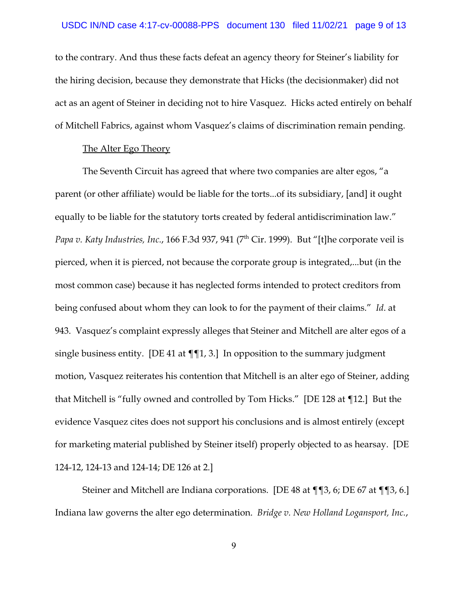to the contrary. And thus these facts defeat an agency theory for Steiner's liability for the hiring decision, because they demonstrate that Hicks (the decisionmaker) did not act as an agent of Steiner in deciding not to hire Vasquez. Hicks acted entirely on behalf of Mitchell Fabrics, against whom Vasquez's claims of discrimination remain pending.

#### The Alter Ego Theory

The Seventh Circuit has agreed that where two companies are alter egos, "a parent (or other affiliate) would be liable for the torts...of its subsidiary, [and] it ought equally to be liable for the statutory torts created by federal antidiscrimination law." *Papa v. Katy Industries, Inc., 166 F.3d 937, 941 (7<sup>th</sup> Cir. 1999). But "[t]he corporate veil is* pierced, when it is pierced, not because the corporate group is integrated,...but (in the most common case) because it has neglected forms intended to protect creditors from being confused about whom they can look to for the payment of their claims." *Id*. at 943. Vasquez's complaint expressly alleges that Steiner and Mitchell are alter egos of a single business entity. [DE 41 at  $\P$ [1, 3.] In opposition to the summary judgment motion, Vasquez reiterates his contention that Mitchell is an alter ego of Steiner, adding that Mitchell is "fully owned and controlled by Tom Hicks." [DE 128 at ¶12.] But the evidence Vasquez cites does not support his conclusions and is almost entirely (except for marketing material published by Steiner itself) properly objected to as hearsay. [DE 124-12, 124-13 and 124-14; DE 126 at 2.]

Steiner and Mitchell are Indiana corporations. [DE 48 at ¶¶3, 6; DE 67 at ¶¶3, 6.] Indiana law governs the alter ego determination. *Bridge v. New Holland Logansport, Inc.*,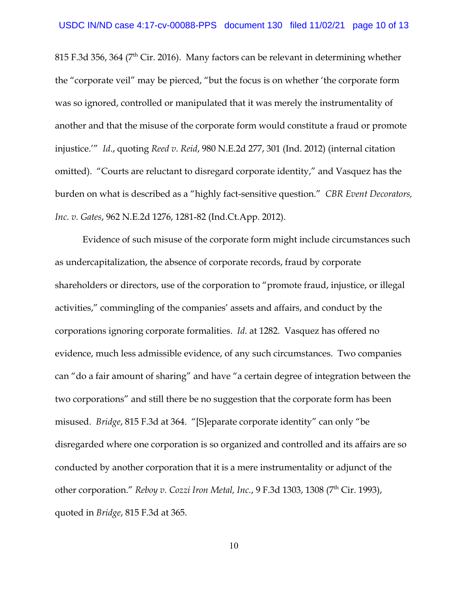815 F.3d 356, 364 ( $7<sup>th</sup>$  Cir. 2016). Many factors can be relevant in determining whether the "corporate veil" may be pierced, "but the focus is on whether 'the corporate form was so ignored, controlled or manipulated that it was merely the instrumentality of another and that the misuse of the corporate form would constitute a fraud or promote injustice.'" *Id*., quoting *Reed v. Reid*, 980 N.E.2d 277, 301 (Ind. 2012) (internal citation omitted). "Courts are reluctant to disregard corporate identity," and Vasquez has the burden on what is described as a "highly fact-sensitive question." *CBR Event Decorators, Inc. v. Gates*, 962 N.E.2d 1276, 1281-82 (Ind.Ct.App. 2012).

Evidence of such misuse of the corporate form might include circumstances such as undercapitalization, the absence of corporate records, fraud by corporate shareholders or directors, use of the corporation to "promote fraud, injustice, or illegal activities," commingling of the companies' assets and affairs, and conduct by the corporations ignoring corporate formalities. *Id*. at 1282. Vasquez has offered no evidence, much less admissible evidence, of any such circumstances. Two companies can "do a fair amount of sharing" and have "a certain degree of integration between the two corporations" and still there be no suggestion that the corporate form has been misused. *Bridge*, 815 F.3d at 364. "[S]eparate corporate identity" can only "be disregarded where one corporation is so organized and controlled and its affairs are so conducted by another corporation that it is a mere instrumentality or adjunct of the other corporation." *Reboy v. Cozzi Iron Metal, Inc.*, 9 F.3d 1303, 1308 (7<sup>th</sup> Cir. 1993), quoted in *Bridge*, 815 F.3d at 365.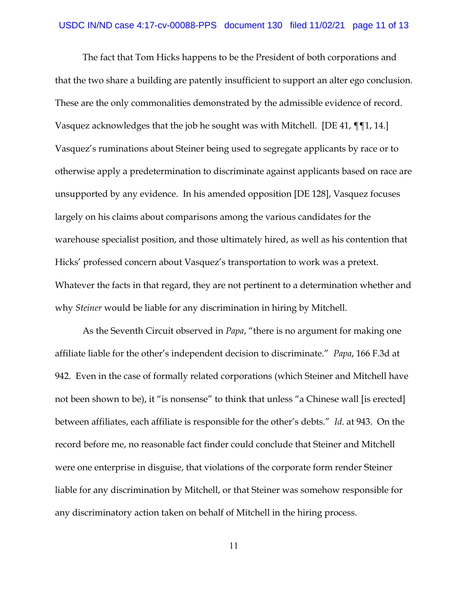The fact that Tom Hicks happens to be the President of both corporations and that the two share a building are patently insufficient to support an alter ego conclusion. These are the only commonalities demonstrated by the admissible evidence of record. Vasquez acknowledges that the job he sought was with Mitchell. [DE 41, ¶¶1, 14.] Vasquez's ruminations about Steiner being used to segregate applicants by race or to otherwise apply a predetermination to discriminate against applicants based on race are unsupported by any evidence. In his amended opposition [DE 128], Vasquez focuses largely on his claims about comparisons among the various candidates for the warehouse specialist position, and those ultimately hired, as well as his contention that Hicks' professed concern about Vasquez's transportation to work was a pretext. Whatever the facts in that regard, they are not pertinent to a determination whether and why *Steiner* would be liable for any discrimination in hiring by Mitchell.

As the Seventh Circuit observed in *Papa*, "there is no argument for making one affiliate liable for the other's independent decision to discriminate." *Papa*, 166 F.3d at 942. Even in the case of formally related corporations (which Steiner and Mitchell have not been shown to be), it "is nonsense" to think that unless "a Chinese wall [is erected] between affiliates, each affiliate is responsible for the other's debts." *Id*. at 943. On the record before me, no reasonable fact finder could conclude that Steiner and Mitchell were one enterprise in disguise, that violations of the corporate form render Steiner liable for any discrimination by Mitchell, or that Steiner was somehow responsible for any discriminatory action taken on behalf of Mitchell in the hiring process.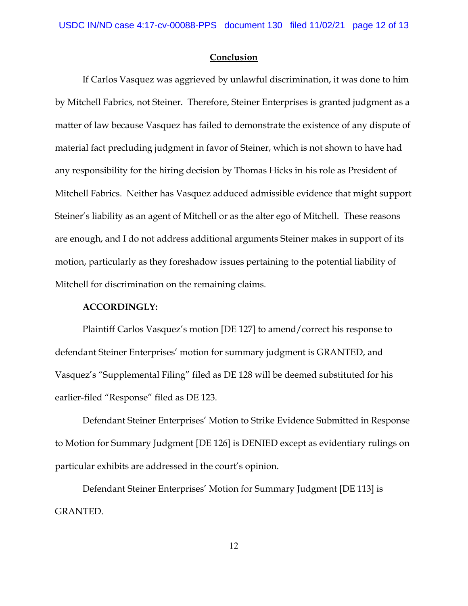#### **Conclusion**

If Carlos Vasquez was aggrieved by unlawful discrimination, it was done to him by Mitchell Fabrics, not Steiner. Therefore, Steiner Enterprises is granted judgment as a matter of law because Vasquez has failed to demonstrate the existence of any dispute of material fact precluding judgment in favor of Steiner, which is not shown to have had any responsibility for the hiring decision by Thomas Hicks in his role as President of Mitchell Fabrics. Neither has Vasquez adduced admissible evidence that might support Steiner's liability as an agent of Mitchell or as the alter ego of Mitchell. These reasons are enough, and I do not address additional arguments Steiner makes in support of its motion, particularly as they foreshadow issues pertaining to the potential liability of Mitchell for discrimination on the remaining claims.

#### **ACCORDINGLY:**

Plaintiff Carlos Vasquez's motion [DE 127] to amend/correct his response to defendant Steiner Enterprises' motion for summary judgment is GRANTED, and Vasquez's "Supplemental Filing" filed as DE 128 will be deemed substituted for his earlier-filed "Response" filed as DE 123.

Defendant Steiner Enterprises' Motion to Strike Evidence Submitted in Response to Motion for Summary Judgment [DE 126] is DENIED except as evidentiary rulings on particular exhibits are addressed in the court's opinion.

Defendant Steiner Enterprises' Motion for Summary Judgment [DE 113] is GRANTED.